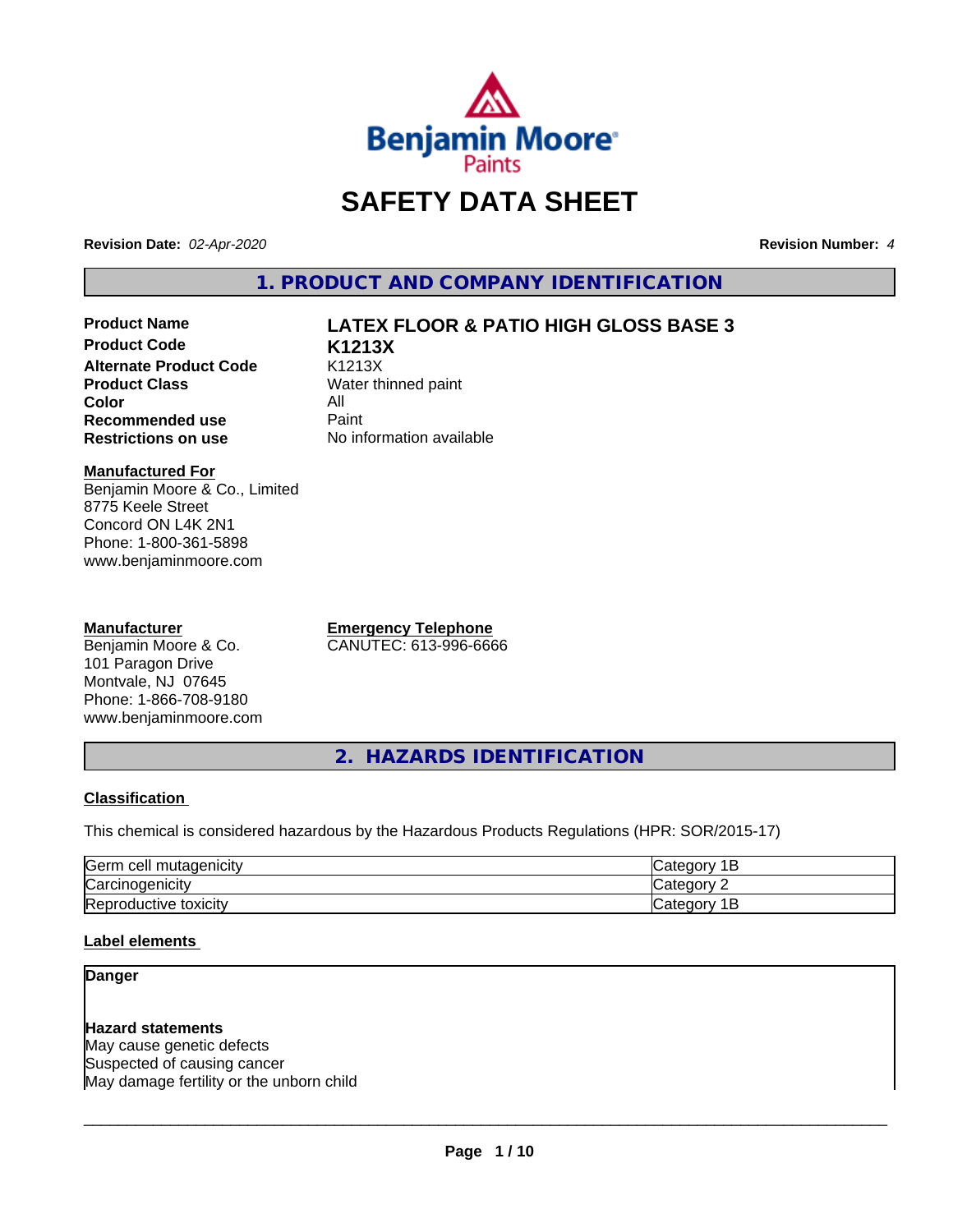

# **SAFETY DATA SHEET**

**Revision Date:** *02-Apr-2020* **Revision Number:** *4*

**1. PRODUCT AND COMPANY IDENTIFICATION**

**Product Code K1213X Alternate Product Code** K1213X<br> **Product Class** Water th **Color** All<br> **Recommended use** Paint **Recommended use**<br>Restrictions on use

# **Product Name LATEX FLOOR & PATIO HIGH GLOSS BASE 3**

**Water thinned paint No information available** 

#### **Manufactured For**

Benjamin Moore & Co., Limited 8775 Keele Street Concord ON L4K 2N1 Phone: 1-800-361-5898 www.benjaminmoore.com

#### **Manufacturer**

Benjamin Moore & Co. 101 Paragon Drive Montvale, NJ 07645 Phone: 1-866-708-9180 www.benjaminmoore.com **Emergency Telephone** CANUTEC: 613-996-6666

**2. HAZARDS IDENTIFICATION**

### **Classification**

This chemical is considered hazardous by the Hazardous Products Regulations (HPR: SOR/2015-17)

| <b>IGerm</b><br>cell<br>mutagenicity | AIPOP<br>$\sim$ $\sim$<br>-                       |
|--------------------------------------|---------------------------------------------------|
| ⌒<br> Carcinogenicity                | $\sim$<br>ำืื้<br>16                              |
| −<br>toxicity<br>'Reproductive       | -<br>$A$ IANO <sup>r</sup><br>$\sim$<br>vait<br>- |

#### **Label elements**

# **Danger**

**Hazard statements** May cause genetic defects Suspected of causing cancer May damage fertility or the unborn child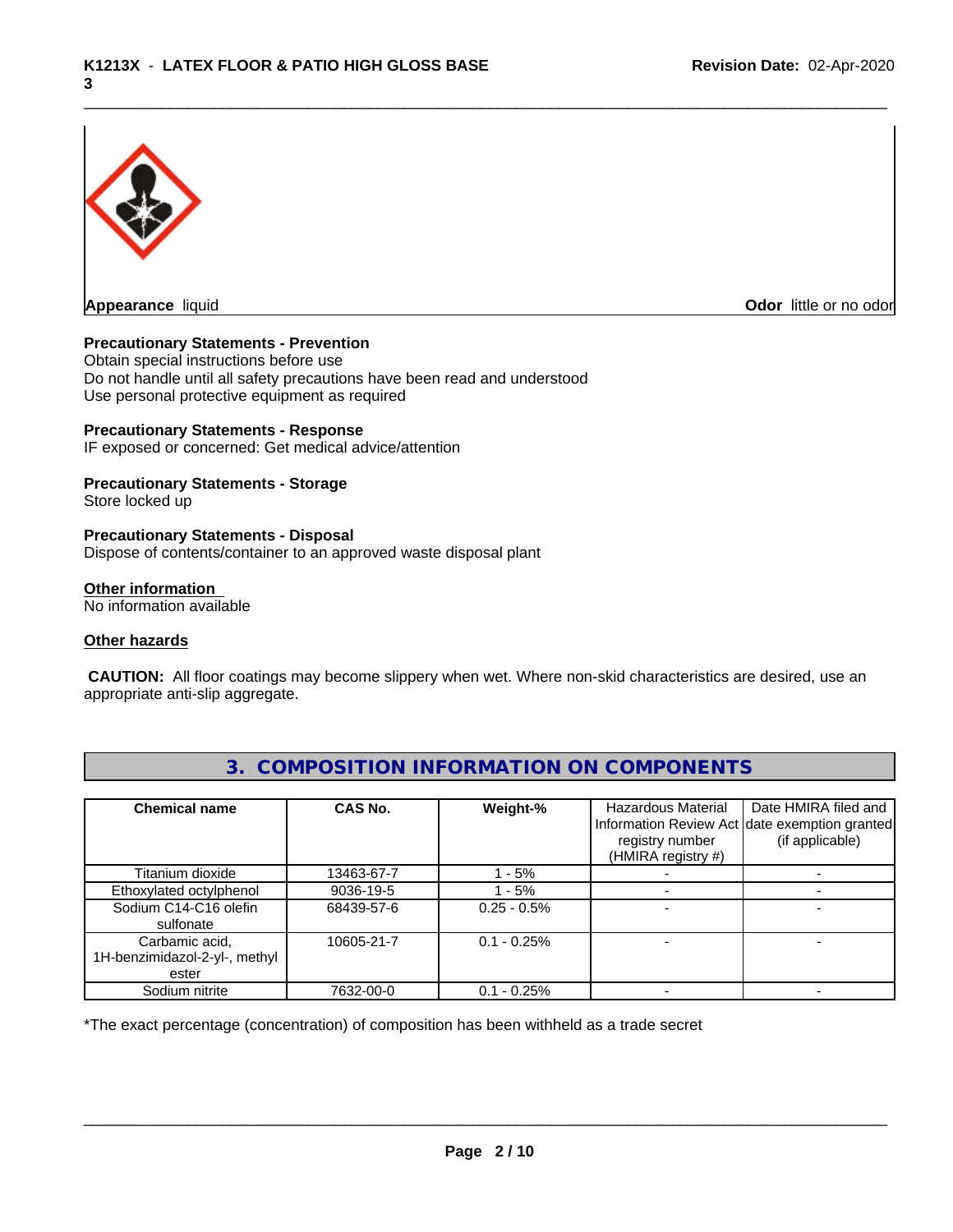

**Appearance** liquid **Contract Contract Contract Contract Contract Contract Contract Contract Contract Contract Contract Contract Contract Contract Contract Contract Contract Contract Contract Contract Contract Contract Con** 

### **Precautionary Statements - Prevention**

Obtain special instructions before use Do not handle until all safety precautions have been read and understood Use personal protective equipment as required

### **Precautionary Statements - Response**

IF exposed or concerned: Get medical advice/attention

#### **Precautionary Statements - Storage**

Store locked up

#### **Precautionary Statements - Disposal**

Dispose of contents/container to an approved waste disposal plant

#### **Other information**

No information available

#### **Other hazards**

 **CAUTION:** All floor coatings may become slippery when wet. Where non-skid characteristics are desired, use an appropriate anti-slip aggregate.

| <b>Chemical name</b>                                     | CAS No.    | Weight-%       | <b>Hazardous Material</b><br>registry number<br>(HMIRA registry #) | Date HMIRA filed and<br>Information Review Act date exemption granted<br>(if applicable) |
|----------------------------------------------------------|------------|----------------|--------------------------------------------------------------------|------------------------------------------------------------------------------------------|
| Titanium dioxide                                         | 13463-67-7 | $-5%$          |                                                                    |                                                                                          |
| Ethoxylated octylphenol                                  | 9036-19-5  | $-5%$          |                                                                    |                                                                                          |
| Sodium C14-C16 olefin<br>sulfonate                       | 68439-57-6 | $0.25 - 0.5\%$ |                                                                    |                                                                                          |
| Carbamic acid,<br>1H-benzimidazol-2-yl-, methyl<br>ester | 10605-21-7 | $0.1 - 0.25%$  |                                                                    |                                                                                          |
| Sodium nitrite                                           | 7632-00-0  | $0.1 - 0.25%$  |                                                                    |                                                                                          |

# **3. COMPOSITION INFORMATION ON COMPONENTS**

\*The exact percentage (concentration) of composition has been withheld as a trade secret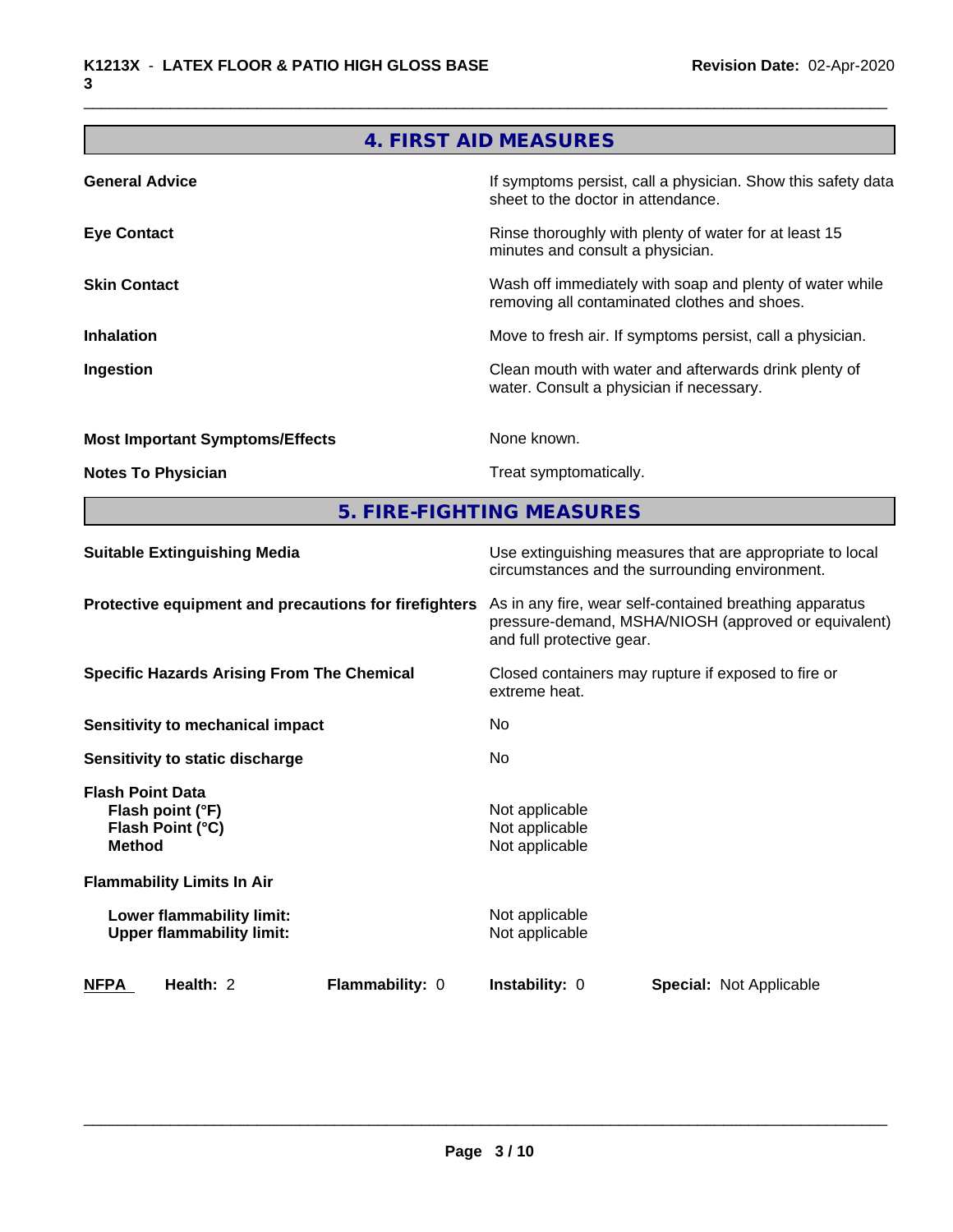# **4. FIRST AID MEASURES**

| <b>General Advice</b>                  | If symptoms persist, call a physician. Show this safety data<br>sheet to the doctor in attendance.       |  |
|----------------------------------------|----------------------------------------------------------------------------------------------------------|--|
| <b>Eye Contact</b>                     | Rinse thoroughly with plenty of water for at least 15<br>minutes and consult a physician.                |  |
| <b>Skin Contact</b>                    | Wash off immediately with soap and plenty of water while<br>removing all contaminated clothes and shoes. |  |
| <b>Inhalation</b>                      | Move to fresh air. If symptoms persist, call a physician.                                                |  |
| Ingestion                              | Clean mouth with water and afterwards drink plenty of<br>water. Consult a physician if necessary.        |  |
| <b>Most Important Symptoms/Effects</b> | None known.                                                                                              |  |
| <b>Notes To Physician</b>              | Treat symptomatically.                                                                                   |  |

**5. FIRE-FIGHTING MEASURES**

| Use extinguishing measures that are appropriate to local<br>circumstances and the surrounding environment.                                   |
|----------------------------------------------------------------------------------------------------------------------------------------------|
| As in any fire, wear self-contained breathing apparatus<br>pressure-demand, MSHA/NIOSH (approved or equivalent)<br>and full protective gear. |
| Closed containers may rupture if exposed to fire or<br>extreme heat.                                                                         |
| No                                                                                                                                           |
| No.                                                                                                                                          |
| Not applicable<br>Not applicable<br>Not applicable                                                                                           |
|                                                                                                                                              |
| Not applicable<br>Not applicable                                                                                                             |
| <b>Instability: 0</b><br><b>Special: Not Applicable</b>                                                                                      |
|                                                                                                                                              |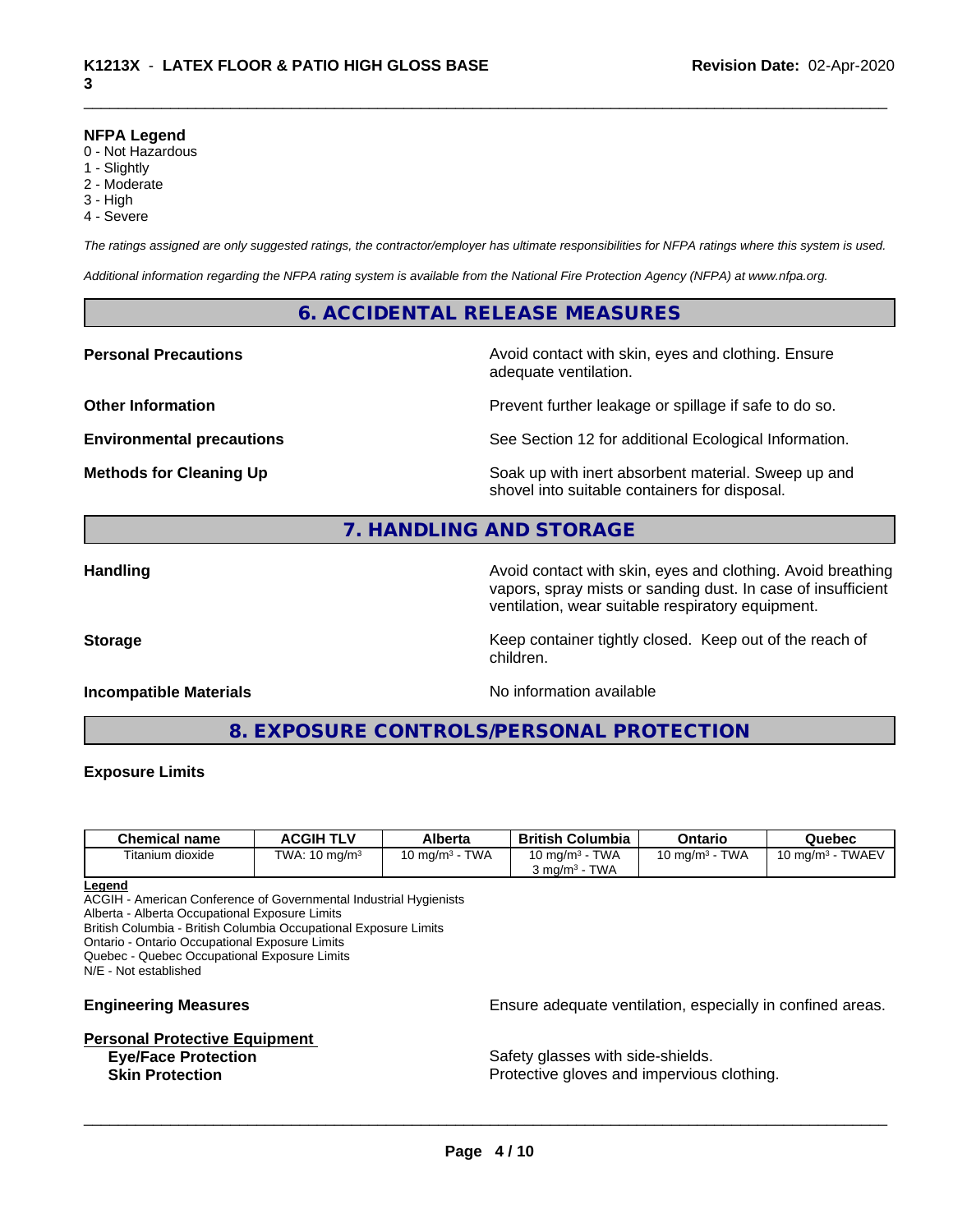#### **NFPA Legend**

- 0 Not Hazardous
- 1 Slightly
- 2 Moderate
- 3 High
- 4 Severe

*The ratings assigned are only suggested ratings, the contractor/employer has ultimate responsibilities for NFPA ratings where this system is used.*

*Additional information regarding the NFPA rating system is available from the National Fire Protection Agency (NFPA) at www.nfpa.org.*

# **6. ACCIDENTAL RELEASE MEASURES**

**Personal Precautions Avoid contact with skin, eyes and clothing. Ensure** Avoid contact with skin, eyes and clothing. Ensure adequate ventilation.

**Other Information Determines According to the Prevent further leakage or spillage if safe to do so.** 

**Environmental precautions** See Section 12 for additional Ecological Information.

**Methods for Cleaning Up Example 20 Soak** up with inert absorbent material. Sweep up and shovel into suitable containers for disposal.

# **7. HANDLING AND STORAGE**

**Handling Avoid contact with skin, eyes and clothing. Avoid breathing Handling Avoid breathing** vapors, spray mists or sanding dust. In case of insufficient ventilation, wear suitable respiratory equipment.

**Storage Keep container tightly closed. Keep out of the reach of Keep** container tightly closed. Keep out of the reach of

## **Incompatible Materials Incompatible Materials No information available**

**8. EXPOSURE CONTROLS/PERSONAL PROTECTION**

children.

#### **Exposure Limits**

| <b>Chemical name</b> | <b>ACGIH TLV</b>    | Alberta                   | <b>British</b><br>Columbia            | Ontario                   | Quebec                              |
|----------------------|---------------------|---------------------------|---------------------------------------|---------------------------|-------------------------------------|
| Titanium dioxide     | TWA:<br>10 mg/m $3$ | <b>TWA</b><br>10 ma/m $3$ | <b>TWA</b><br>10 mg/m $3$             | <b>TWA</b><br>10 mg/m $3$ | <b>TWAEV</b><br>$10 \text{ ma/m}^3$ |
|                      |                     |                           | <b>TWA</b><br>ა mɑ/m <sup>ɜ</sup> - ¯ |                           |                                     |

#### **Legend**

ACGIH - American Conference of Governmental Industrial Hygienists

Alberta - Alberta Occupational Exposure Limits

British Columbia - British Columbia Occupational Exposure Limits

Ontario - Ontario Occupational Exposure Limits

Quebec - Quebec Occupational Exposure Limits

N/E - Not established

# **Personal Protective Equipment**

**Engineering Measures Ensure** Ensure adequate ventilation, especially in confined areas.

**Eye/Face Protection Safety glasses with side-shields. Skin Protection Protection Protective gloves and impervious clothing.**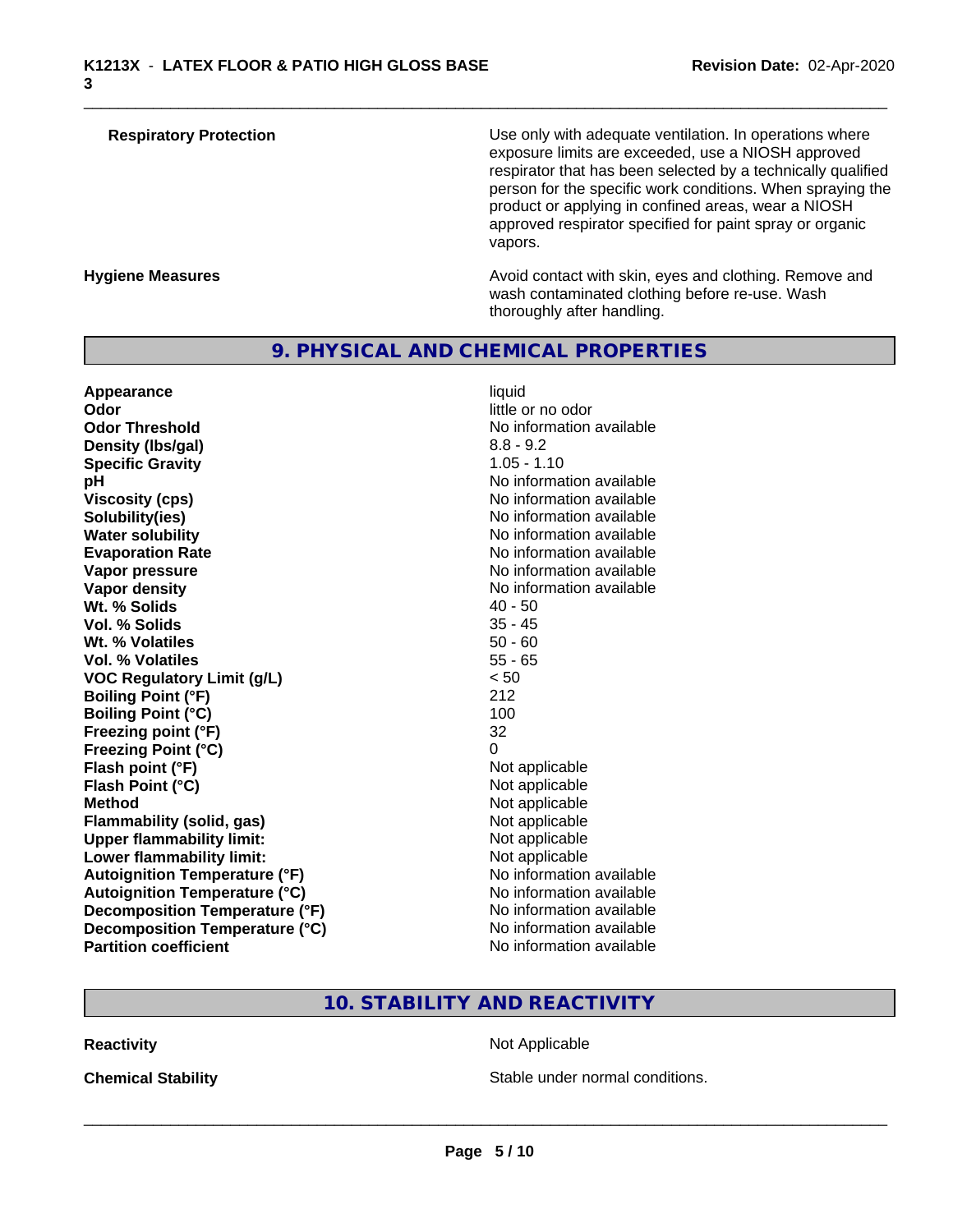| <b>Respiratory Protection</b> | Use only with adequate ventilation. In operations where<br>exposure limits are exceeded, use a NIOSH approved<br>respirator that has been selected by a technically qualified<br>person for the specific work conditions. When spraying the<br>product or applying in confined areas, wear a NIOSH<br>approved respirator specified for paint spray or organic<br>vapors. |
|-------------------------------|---------------------------------------------------------------------------------------------------------------------------------------------------------------------------------------------------------------------------------------------------------------------------------------------------------------------------------------------------------------------------|
| <b>Hygiene Measures</b>       | Avoid contact with skin, eyes and clothing. Remove and<br>wash contaminated clothing before re-use. Wash                                                                                                                                                                                                                                                                  |

# **9. PHYSICAL AND CHEMICAL PROPERTIES**

| Appearance                           | liquid                   |
|--------------------------------------|--------------------------|
| Odor                                 | little or no odor        |
| <b>Odor Threshold</b>                | No information available |
| Density (Ibs/gal)                    | $8.8 - 9.2$              |
| <b>Specific Gravity</b>              | $1.05 - 1.10$            |
| рH                                   | No information available |
| <b>Viscosity (cps)</b>               | No information available |
| Solubility(ies)                      | No information available |
| <b>Water solubility</b>              | No information available |
| <b>Evaporation Rate</b>              | No information available |
| Vapor pressure                       | No information available |
| <b>Vapor density</b>                 | No information available |
| Wt. % Solids                         | $40 - 50$                |
| <b>Vol. % Solids</b>                 | $35 - 45$                |
| Wt. % Volatiles                      | $50 - 60$                |
| Vol. % Volatiles                     | $55 - 65$                |
| <b>VOC Regulatory Limit (g/L)</b>    | < 50                     |
| <b>Boiling Point (°F)</b>            | 212                      |
| <b>Boiling Point (°C)</b>            | 100                      |
| Freezing point (°F)                  | 32                       |
| <b>Freezing Point (°C)</b>           | $\Omega$                 |
| Flash point (°F)                     | Not applicable           |
| Flash Point (°C)                     | Not applicable           |
| <b>Method</b>                        | Not applicable           |
| <b>Flammability (solid, gas)</b>     | Not applicable           |
| <b>Upper flammability limit:</b>     | Not applicable           |
| Lower flammability limit:            | Not applicable           |
| <b>Autoignition Temperature (°F)</b> | No information available |
| <b>Autoignition Temperature (°C)</b> | No information available |
| Decomposition Temperature (°F)       | No information available |
| Decomposition Temperature (°C)       | No information available |
| <b>Partition coefficient</b>         | No information available |

thoroughly after handling.

# **10. STABILITY AND REACTIVITY**

**Reactivity** Not Applicable

**Chemical Stability Chemical Stability** Stable under normal conditions.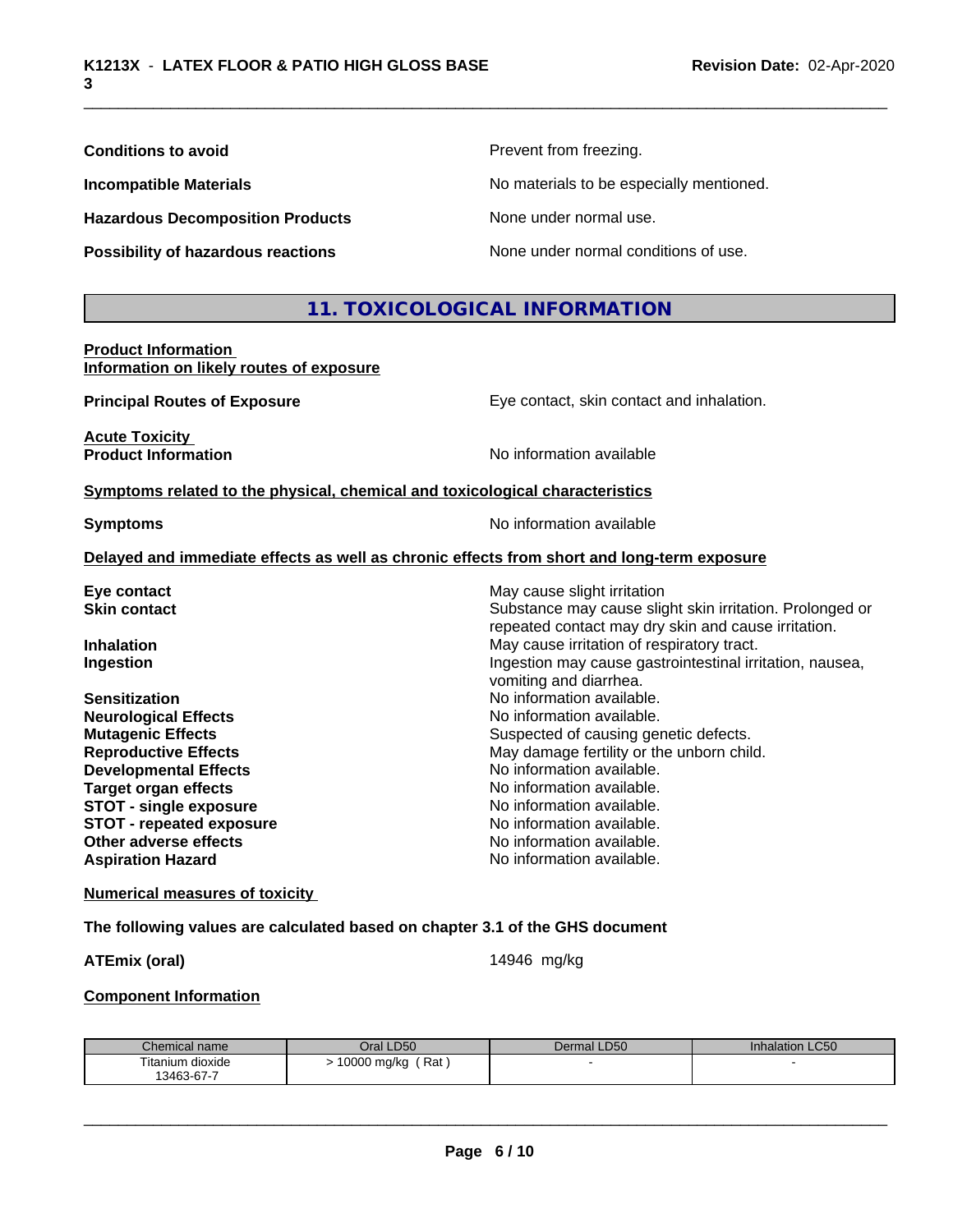| <b>Conditions to avoid</b>                                             | Prevent from freezing.                   |
|------------------------------------------------------------------------|------------------------------------------|
| <b>Incompatible Materials</b>                                          | No materials to be especially mentioned. |
| <b>Hazardous Decomposition Products</b>                                | None under normal use.                   |
| Possibility of hazardous reactions                                     | None under normal conditions of use.     |
|                                                                        | 11. TOXICOLOGICAL INFORMATION            |
| <b>Product Information</b><br>Information on likely routes of exposure |                                          |

**Principal Routes of Exposure Exposure** Eye contact, skin contact and inhalation.

**Acute Toxicity Product Information** No information available

**Symptoms** related to the physical, chemical and toxicological characteristics

**Symptoms** No information available

#### **Delayed and immediate effects as well as chronic effects from short and long-term exposure**

| Eye contact                     | May cause slight irritation                                                                                     |
|---------------------------------|-----------------------------------------------------------------------------------------------------------------|
| <b>Skin contact</b>             | Substance may cause slight skin irritation. Prolonged or<br>repeated contact may dry skin and cause irritation. |
| <b>Inhalation</b>               | May cause irritation of respiratory tract.                                                                      |
| Ingestion                       | Ingestion may cause gastrointestinal irritation, nausea,<br>vomiting and diarrhea.                              |
| <b>Sensitization</b>            | No information available.                                                                                       |
| <b>Neurological Effects</b>     | No information available.                                                                                       |
| <b>Mutagenic Effects</b>        | Suspected of causing genetic defects.                                                                           |
| <b>Reproductive Effects</b>     | May damage fertility or the unborn child.                                                                       |
| <b>Developmental Effects</b>    | No information available.                                                                                       |
| Target organ effects            | No information available.                                                                                       |
| <b>STOT - single exposure</b>   | No information available.                                                                                       |
| <b>STOT - repeated exposure</b> | No information available.                                                                                       |
| Other adverse effects           | No information available.                                                                                       |
| <b>Aspiration Hazard</b>        | No information available.                                                                                       |
|                                 |                                                                                                                 |

#### **Numerical measures of toxicity**

#### **The following values are calculated based on chapter 3.1 of the GHS document**

**ATEmix (oral)** 14946 mg/kg

 $\overline{\phantom{a}}$  ,  $\overline{\phantom{a}}$  ,  $\overline{\phantom{a}}$  ,  $\overline{\phantom{a}}$  ,  $\overline{\phantom{a}}$  ,  $\overline{\phantom{a}}$  ,  $\overline{\phantom{a}}$  ,  $\overline{\phantom{a}}$  ,  $\overline{\phantom{a}}$  ,  $\overline{\phantom{a}}$  ,  $\overline{\phantom{a}}$  ,  $\overline{\phantom{a}}$  ,  $\overline{\phantom{a}}$  ,  $\overline{\phantom{a}}$  ,  $\overline{\phantom{a}}$  ,  $\overline{\phantom{a}}$ 

#### **Component Information**

| Chemical name    | Oral LD50          | Dermal LD50 | Inhalation LC50 |
|------------------|--------------------|-------------|-----------------|
| Titanium dioxide | Rat<br>10000 mg/kg |             |                 |
| 13463-67-7       |                    |             |                 |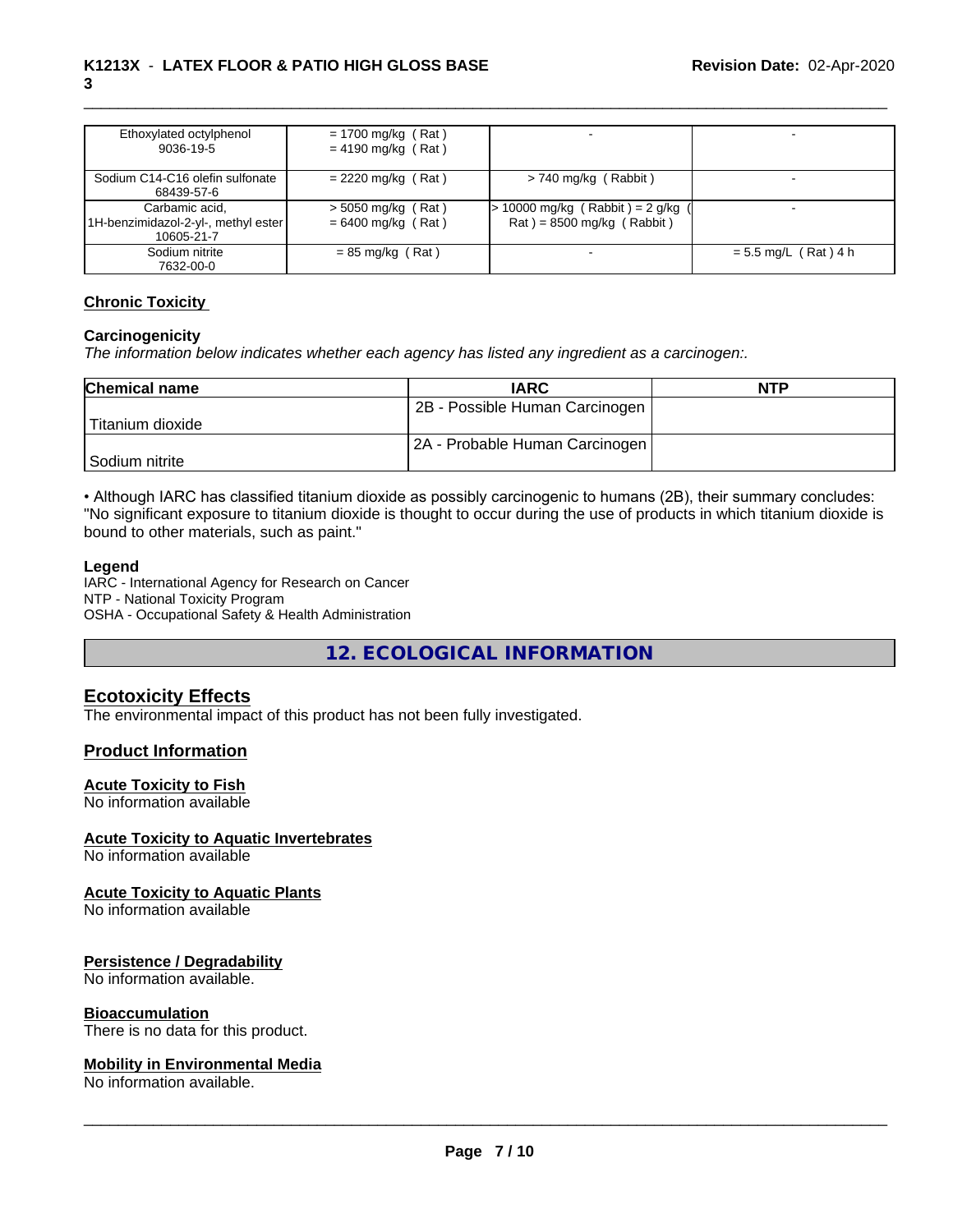| Ethoxylated octylphenol<br>9036-19-5                                  | $= 1700$ mg/kg (Rat)<br>$= 4190$ mg/kg (Rat) |                                                                    |                        |
|-----------------------------------------------------------------------|----------------------------------------------|--------------------------------------------------------------------|------------------------|
| Sodium C14-C16 olefin sulfonate<br>68439-57-6                         | $= 2220$ mg/kg (Rat)                         | $> 740$ mg/kg (Rabbit)                                             |                        |
| Carbamic acid.<br>1H-benzimidazol-2-yl-, methyl ester  <br>10605-21-7 | $>$ 5050 mg/kg (Rat)<br>$= 6400$ mg/kg (Rat) | > 10000 mg/kg ( Rabbit ) = 2 g/kg (<br>$Rat$ = 8500 mg/kg (Rabbit) |                        |
| Sodium nitrite<br>7632-00-0                                           | $= 85$ mg/kg (Rat)                           |                                                                    | $= 5.5$ mg/L (Rat) 4 h |

#### **Chronic Toxicity**

#### **Carcinogenicity**

*The information below indicateswhether each agency has listed any ingredient as a carcinogen:.*

| <b>Chemical name</b> | <b>IARC</b>                    | <b>NTP</b> |
|----------------------|--------------------------------|------------|
|                      | 2B - Possible Human Carcinogen |            |
| Titanium dioxide     |                                |            |
|                      | 2A - Probable Human Carcinogen |            |
| Sodium nitrite       |                                |            |

• Although IARC has classified titanium dioxide as possibly carcinogenic to humans (2B), their summary concludes: "No significant exposure to titanium dioxide is thought to occur during the use of products in which titanium dioxide is bound to other materials, such as paint."

#### **Legend**

IARC - International Agency for Research on Cancer NTP - National Toxicity Program OSHA - Occupational Safety & Health Administration

**12. ECOLOGICAL INFORMATION**

### **Ecotoxicity Effects**

The environmental impact of this product has not been fully investigated.

### **Product Information**

#### **Acute Toxicity to Fish**

No information available

#### **Acute Toxicity to Aquatic Invertebrates**

No information available

#### **Acute Toxicity to Aquatic Plants**

No information available

#### **Persistence / Degradability**

No information available.

#### **Bioaccumulation**

There is no data for this product.

#### **Mobility in Environmental Media**

No information available.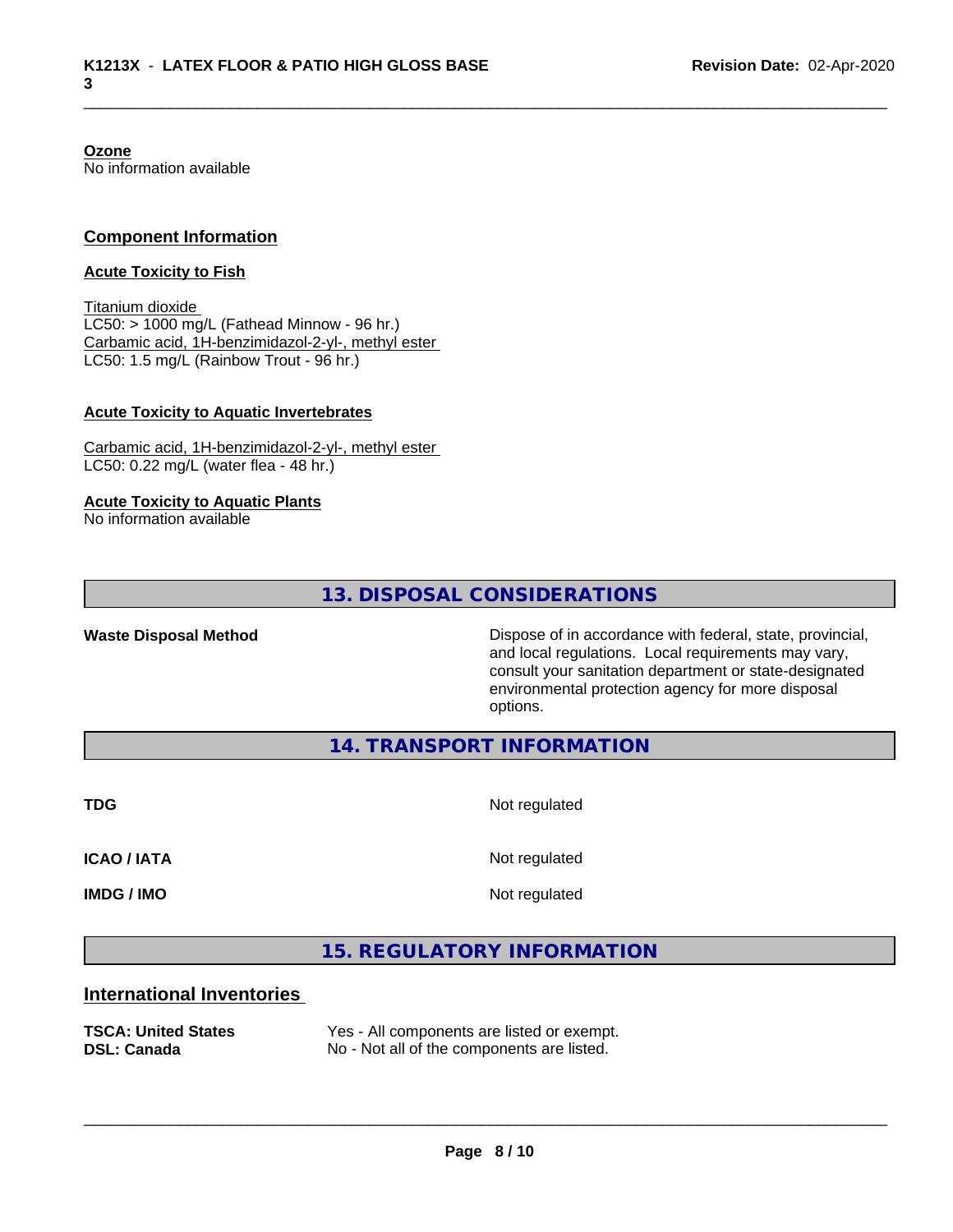**Ozone** No information available

### **Component Information**

#### **Acute Toxicity to Fish**

Titanium dioxide  $LC50:$  > 1000 mg/L (Fathead Minnow - 96 hr.) Carbamic acid, 1H-benzimidazol-2-yl-, methyl ester LC50: 1.5 mg/L (Rainbow Trout - 96 hr.)

#### **Acute Toxicity to Aquatic Invertebrates**

Carbamic acid, 1H-benzimidazol-2-yl-, methyl ester LC50: 0.22 mg/L (water flea - 48 hr.)

#### **Acute Toxicity to Aquatic Plants**

No information available

**13. DISPOSAL CONSIDERATIONS**

**Waste Disposal Method Dispose of in accordance with federal, state, provincial,** and local regulations. Local requirements may vary, consult your sanitation department or state-designated environmental protection agency for more disposal options.

**14. TRANSPORT INFORMATION**

**TDG** Not regulated

**ICAO / IATA** Not regulated

**IMDG / IMO** Not regulated

 $\overline{\phantom{a}}$  ,  $\overline{\phantom{a}}$  ,  $\overline{\phantom{a}}$  ,  $\overline{\phantom{a}}$  ,  $\overline{\phantom{a}}$  ,  $\overline{\phantom{a}}$  ,  $\overline{\phantom{a}}$  ,  $\overline{\phantom{a}}$  ,  $\overline{\phantom{a}}$  ,  $\overline{\phantom{a}}$  ,  $\overline{\phantom{a}}$  ,  $\overline{\phantom{a}}$  ,  $\overline{\phantom{a}}$  ,  $\overline{\phantom{a}}$  ,  $\overline{\phantom{a}}$  ,  $\overline{\phantom{a}}$ 

# **15. REGULATORY INFORMATION**

## **International Inventories**

**TSCA: United States** Yes - All components are listed or exempt. **DSL: Canada** No - Not all of the components are listed.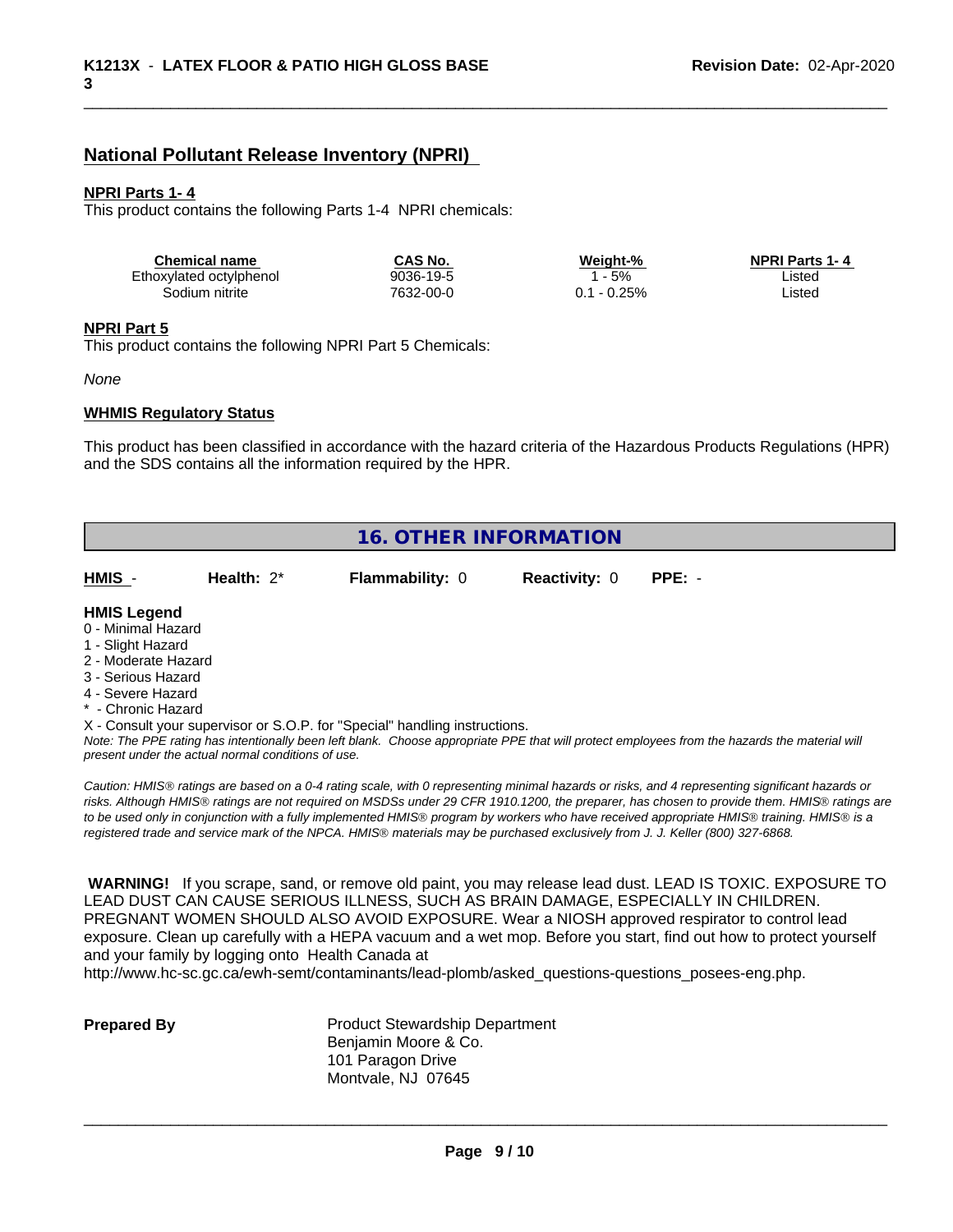# **National Pollutant Release Inventory (NPRI)**

#### **NPRI Parts 1- 4**

This product contains the following Parts 1-4 NPRI chemicals:

| <b>Chemical name</b>    | CAS No.   | Weiaht-% | <b>NPRI Parts 1-4</b> |  |
|-------------------------|-----------|----------|-----------------------|--|
| Ethoxylated octylphenol | 9036-19-5 | 5%       | Listec                |  |
| Sodium nitrite          | 7632-00-0 | $-0.25%$ | Listec                |  |

#### **NPRI Part 5**

This product contains the following NPRI Part 5 Chemicals:

#### *None*

#### **WHMIS Regulatory Status**

This product has been classified in accordance with the hazard criteria of the Hazardous Products Regulations (HPR) and the SDS contains all the information required by the HPR.

|                     | <b>16. OTHER INFORMATION</b>                       |                                                                            |                      |                                                                                                                                               |  |  |  |
|---------------------|----------------------------------------------------|----------------------------------------------------------------------------|----------------------|-----------------------------------------------------------------------------------------------------------------------------------------------|--|--|--|
| HMIS -              | Health: $2^*$                                      | <b>Flammability: 0</b>                                                     | <b>Reactivity: 0</b> | $PPE: -$                                                                                                                                      |  |  |  |
| <b>HMIS Legend</b>  |                                                    |                                                                            |                      |                                                                                                                                               |  |  |  |
| 0 - Minimal Hazard  |                                                    |                                                                            |                      |                                                                                                                                               |  |  |  |
| 1 - Slight Hazard   |                                                    |                                                                            |                      |                                                                                                                                               |  |  |  |
| 2 - Moderate Hazard |                                                    |                                                                            |                      |                                                                                                                                               |  |  |  |
| 3 - Serious Hazard  |                                                    |                                                                            |                      |                                                                                                                                               |  |  |  |
| 4 - Severe Hazard   |                                                    |                                                                            |                      |                                                                                                                                               |  |  |  |
| * - Chronic Hazard  |                                                    |                                                                            |                      |                                                                                                                                               |  |  |  |
|                     |                                                    | X - Consult your supervisor or S.O.P. for "Special" handling instructions. |                      |                                                                                                                                               |  |  |  |
|                     | present under the actual normal conditions of use. |                                                                            |                      | Note: The PPE rating has intentionally been left blank. Choose appropriate PPE that will protect employees from the hazards the material will |  |  |  |

*risks. Although HMISÒ ratings are not required on MSDSs under 29 CFR 1910.1200, the preparer, has chosen to provide them. HMISÒ ratings are to be used only in conjunction with a fully implemented HMISÒ program by workers who have received appropriate HMISÒ training. HMISÒ is a registered trade and service mark of the NPCA. HMISÒ materials may be purchased exclusively from J. J. Keller (800) 327-6868.*

 **WARNING!** If you scrape, sand, or remove old paint, you may release lead dust. LEAD IS TOXIC. EXPOSURE TO LEAD DUST CAN CAUSE SERIOUS ILLNESS, SUCH AS BRAIN DAMAGE, ESPECIALLY IN CHILDREN. PREGNANT WOMEN SHOULD ALSO AVOID EXPOSURE.Wear a NIOSH approved respirator to control lead exposure. Clean up carefully with a HEPA vacuum and a wet mop. Before you start, find out how to protect yourself and your family by logging onto Health Canada at

http://www.hc-sc.gc.ca/ewh-semt/contaminants/lead-plomb/asked\_questions-questions\_posees-eng.php.

| <b>Prepared By</b> |  |
|--------------------|--|
|                    |  |

**Product Stewardship Department** Benjamin Moore & Co. 101 Paragon Drive Montvale, NJ 07645